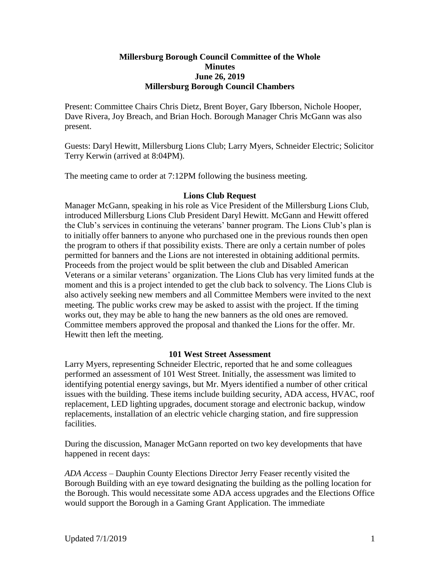# **Millersburg Borough Council Committee of the Whole Minutes June 26, 2019 Millersburg Borough Council Chambers**

Present: Committee Chairs Chris Dietz, Brent Boyer, Gary Ibberson, Nichole Hooper, Dave Rivera, Joy Breach, and Brian Hoch. Borough Manager Chris McGann was also present.

Guests: Daryl Hewitt, Millersburg Lions Club; Larry Myers, Schneider Electric; Solicitor Terry Kerwin (arrived at 8:04PM).

The meeting came to order at 7:12PM following the business meeting.

# **Lions Club Request**

Manager McGann, speaking in his role as Vice President of the Millersburg Lions Club, introduced Millersburg Lions Club President Daryl Hewitt. McGann and Hewitt offered the Club's services in continuing the veterans' banner program. The Lions Club's plan is to initially offer banners to anyone who purchased one in the previous rounds then open the program to others if that possibility exists. There are only a certain number of poles permitted for banners and the Lions are not interested in obtaining additional permits. Proceeds from the project would be split between the club and Disabled American Veterans or a similar veterans' organization. The Lions Club has very limited funds at the moment and this is a project intended to get the club back to solvency. The Lions Club is also actively seeking new members and all Committee Members were invited to the next meeting. The public works crew may be asked to assist with the project. If the timing works out, they may be able to hang the new banners as the old ones are removed. Committee members approved the proposal and thanked the Lions for the offer. Mr. Hewitt then left the meeting.

# **101 West Street Assessment**

Larry Myers, representing Schneider Electric, reported that he and some colleagues performed an assessment of 101 West Street. Initially, the assessment was limited to identifying potential energy savings, but Mr. Myers identified a number of other critical issues with the building. These items include building security, ADA access, HVAC, roof replacement, LED lighting upgrades, document storage and electronic backup, window replacements, installation of an electric vehicle charging station, and fire suppression facilities.

During the discussion, Manager McGann reported on two key developments that have happened in recent days:

*ADA Access* – Dauphin County Elections Director Jerry Feaser recently visited the Borough Building with an eye toward designating the building as the polling location for the Borough. This would necessitate some ADA access upgrades and the Elections Office would support the Borough in a Gaming Grant Application. The immediate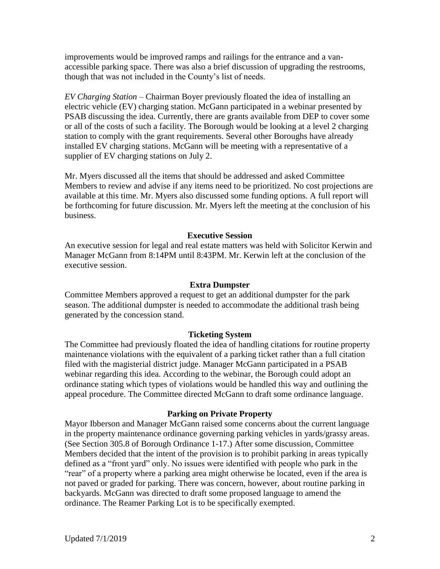improvements would be improved ramps and railings for the entrance and a vanaccessible parking space. There was also a brief discussion of upgrading the restrooms, though that was not included in the County's list of needs.

*EV Charging Station* – Chairman Boyer previously floated the idea of installing an electric vehicle (EV) charging station. McGann participated in a webinar presented by PSAB discussing the idea. Currently, there are grants available from DEP to cover some or all of the costs of such a facility. The Borough would be looking at a level 2 charging station to comply with the grant requirements. Several other Boroughs have already installed EV charging stations. McGann will be meeting with a representative of a supplier of EV charging stations on July 2.

Mr. Myers discussed all the items that should be addressed and asked Committee Members to review and advise if any items need to be prioritized. No cost projections are available at this time. Mr. Myers also discussed some funding options. A full report will be forthcoming for future discussion. Mr. Myers left the meeting at the conclusion of his business.

# **Executive Session**

An executive session for legal and real estate matters was held with Solicitor Kerwin and Manager McGann from 8:14PM until 8:43PM. Mr. Kerwin left at the conclusion of the executive session.

## **Extra Dumpster**

Committee Members approved a request to get an additional dumpster for the park season. The additional dumpster is needed to accommodate the additional trash being generated by the concession stand.

## **Ticketing System**

The Committee had previously floated the idea of handling citations for routine property maintenance violations with the equivalent of a parking ticket rather than a full citation filed with the magisterial district judge. Manager McGann participated in a PSAB webinar regarding this idea. According to the webinar, the Borough could adopt an ordinance stating which types of violations would be handled this way and outlining the appeal procedure. The Committee directed McGann to draft some ordinance language.

#### **Parking on Private Property**

Mayor Ibberson and Manager McGann raised some concerns about the current language in the property maintenance ordinance governing parking vehicles in yards/grassy areas. (See Section 305.8 of Borough Ordinance 1-17.) After some discussion, Committee Members decided that the intent of the provision is to prohibit parking in areas typically defined as a "front yard" only. No issues were identified with people who park in the "rear" of a property where a parking area might otherwise be located, even if the area is not paved or graded for parking. There was concern, however, about routine parking in backyards. McGann was directed to draft some proposed language to amend the ordinance. The Reamer Parking Lot is to be specifically exempted.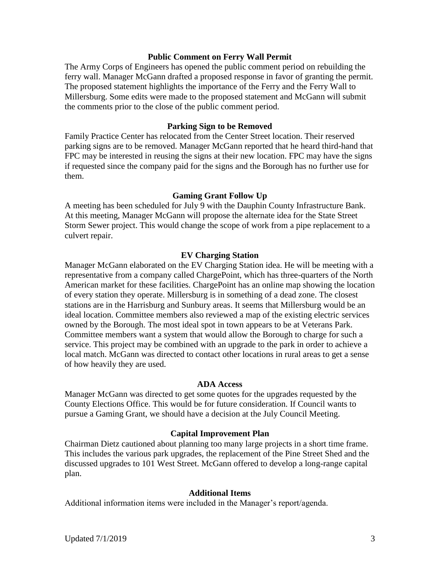# **Public Comment on Ferry Wall Permit**

The Army Corps of Engineers has opened the public comment period on rebuilding the ferry wall. Manager McGann drafted a proposed response in favor of granting the permit. The proposed statement highlights the importance of the Ferry and the Ferry Wall to Millersburg. Some edits were made to the proposed statement and McGann will submit the comments prior to the close of the public comment period.

# **Parking Sign to be Removed**

Family Practice Center has relocated from the Center Street location. Their reserved parking signs are to be removed. Manager McGann reported that he heard third-hand that FPC may be interested in reusing the signs at their new location. FPC may have the signs if requested since the company paid for the signs and the Borough has no further use for them.

# **Gaming Grant Follow Up**

A meeting has been scheduled for July 9 with the Dauphin County Infrastructure Bank. At this meeting, Manager McGann will propose the alternate idea for the State Street Storm Sewer project. This would change the scope of work from a pipe replacement to a culvert repair.

# **EV Charging Station**

Manager McGann elaborated on the EV Charging Station idea. He will be meeting with a representative from a company called ChargePoint, which has three-quarters of the North American market for these facilities. ChargePoint has an online map showing the location of every station they operate. Millersburg is in something of a dead zone. The closest stations are in the Harrisburg and Sunbury areas. It seems that Millersburg would be an ideal location. Committee members also reviewed a map of the existing electric services owned by the Borough. The most ideal spot in town appears to be at Veterans Park. Committee members want a system that would allow the Borough to charge for such a service. This project may be combined with an upgrade to the park in order to achieve a local match. McGann was directed to contact other locations in rural areas to get a sense of how heavily they are used.

## **ADA Access**

Manager McGann was directed to get some quotes for the upgrades requested by the County Elections Office. This would be for future consideration. If Council wants to pursue a Gaming Grant, we should have a decision at the July Council Meeting.

## **Capital Improvement Plan**

Chairman Dietz cautioned about planning too many large projects in a short time frame. This includes the various park upgrades, the replacement of the Pine Street Shed and the discussed upgrades to 101 West Street. McGann offered to develop a long-range capital plan.

## **Additional Items**

Additional information items were included in the Manager's report/agenda.